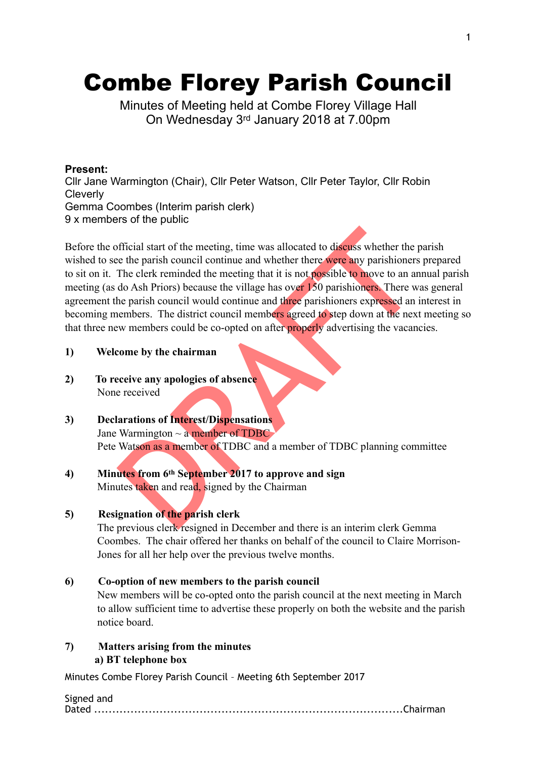# Combe Florey Parish Council

Minutes of Meeting held at Combe Florey Village Hall On Wednesday 3rd January 2018 at 7.00pm

# **Present:**

Cllr Jane Warmington (Chair), Cllr Peter Watson, Cllr Peter Taylor, Cllr Robin **Cleverly** Gemma Coombes (Interim parish clerk) 9 x members of the public

official start of the meeting, time was allocated to discuss whether the result of the meeting to the meeting that it is not **possible to move to an an** do Ash Priors) because the village has over 130 parishioners. There w Before the official start of the meeting, time was allocated to discuss whether the parish wished to see the parish council continue and whether there were any parishioners prepared to sit on it. The clerk reminded the meeting that it is not possible to move to an annual parish meeting (as do Ash Priors) because the village has over 150 parishioners. There was general agreement the parish council would continue and three parishioners expressed an interest in becoming members. The district council members agreed to step down at the next meeting so that three new members could be co-opted on after properly advertising the vacancies.

# **1) Welcome by the chairman**

- **2) To receive any apologies of absence**  None received
- **3) Declarations of Interest/Dispensations**  Jane Warmington  $\sim$  a member of TDBC Pete Watson as a member of TDBC and a member of TDBC planning committee
- **4) Minutes from 6th September 2017 to approve and sign**  Minutes taken and read, signed by the Chairman

# **5) Resignation of the parish clerk**

The previous clerk resigned in December and there is an interim clerk Gemma Coombes. The chair offered her thanks on behalf of the council to Claire Morrison-Jones for all her help over the previous twelve months.

# **6) Co-option of new members to the parish council**

New members will be co-opted onto the parish council at the next meeting in March to allow sufficient time to advertise these properly on both the website and the parish notice board.

**7) Matters arising from the minutes a) BT telephone box** 

| Signed and |  |
|------------|--|
|            |  |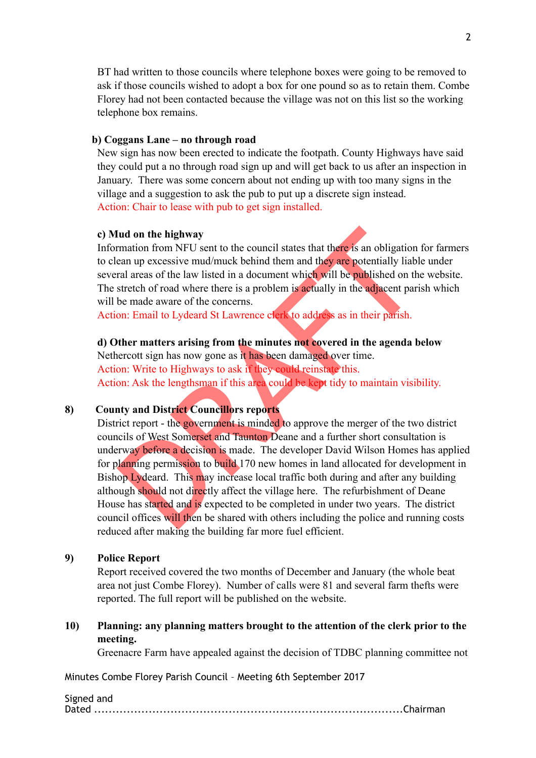BT had written to those councils where telephone boxes were going to be removed to ask if those councils wished to adopt a box for one pound so as to retain them. Combe Florey had not been contacted because the village was not on this list so the working telephone box remains.

#### **b) Coggans Lane – no through road**

New sign has now been erected to indicate the footpath. County Highways have said they could put a no through road sign up and will get back to us after an inspection in January. There was some concern about not ending up with too many signs in the village and a suggestion to ask the pub to put up a discrete sign instead. Action: Chair to lease with pub to get sign installed.

#### **c) Mud on the highway**

Information from NFU sent to the council states that there is an obligation for farmers to clean up excessive mud/muck behind them and they are potentially liable under several areas of the law listed in a document which will be published on the website. The stretch of road where there is a problem is actually in the adjacent parish which will be made aware of the concerns.

Action: Email to Lydeard St Lawrence clerk to address as in their parish.

#### **d) Other matters arising from the minutes not covered in the agenda below**

Nethercott sign has now gone as it has been damaged over time. Action: Write to Highways to ask if they could reinstate this. Action: Ask the lengthsman if this area could be kept tidy to maintain visibility.

# **8) County and District Councillors reports**

Iud on the highway<br>trantion from NFU sent to the council states that there is an obligation<br>can up excessive mud/muck behind them and they are potentially liabl<br>ral areas of the law listed in a document which will be publi District report - the government is minded to approve the merger of the two district councils of West Somerset and Taunton Deane and a further short consultation is underway before a decision is made. The developer David Wilson Homes has applied for planning permission to build 170 new homes in land allocated for development in Bishop Lydeard. This may increase local traffic both during and after any building although should not directly affect the village here. The refurbishment of Deane House has started and is expected to be completed in under two years. The district council offices will then be shared with others including the police and running costs reduced after making the building far more fuel efficient.

### **9) Police Report**

Report received covered the two months of December and January (the whole beat area not just Combe Florey). Number of calls were 81 and several farm thefts were reported. The full report will be published on the website.

# **10) Planning: any planning matters brought to the attention of the clerk prior to the meeting.**

Greenacre Farm have appealed against the decision of TDBC planning committee not

| Signed and |  |
|------------|--|
|            |  |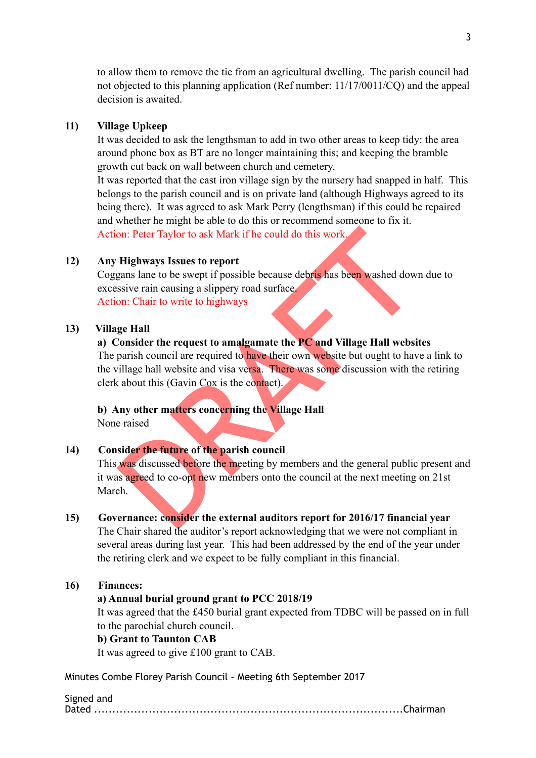to allow them to remove the tie from an agricultural dwelling. The parish council had not objected to this planning application (Ref number: 11/17/0011/CQ) and the appeal decision is awaited.

#### **11) Village Upkeep**

It was decided to ask the lengthsman to add in two other areas to keep tidy: the area around phone box as BT are no longer maintaining this; and keeping the bramble growth cut back on wall between church and cemetery.

It was reported that the cast iron village sign by the nursery had snapped in half. This belongs to the parish council and is on private land (although Highways agreed to its being there). It was agreed to ask Mark Perry (lengthsman) if this could be repaired and whether he might be able to do this or recommend someone to fix it. Action: Peter Taylor to ask Mark if he could do this work.

#### **12) Any Highways Issues to report**

Coggans lane to be swept if possible because debris has been washed down due to excessive rain causing a slippery road surface. Action: Chair to write to highways

#### **13) Village Hall**

# **a) Consider the request to amalgamate the PC and Village Hall websites**

on: Peter Taylor to ask Mark if he could do this work.<br>
Highways Issues to report<br>
sister ain causing a slippery road surface.<br>
Since rain causing a slippery road surface.<br>
on: Chair to write to highways<br>
ge Hall<br>
Consider The parish council are required to have their own website but ought to have a link to the village hall website and visa versa. There was some discussion with the retiring clerk about this (Gavin Cox is the contact).

### **b) Any other matters concerning the Village Hall**

None raised

# **14) Consider the future of the parish council**

This was discussed before the meeting by members and the general public present and it was agreed to co-opt new members onto the council at the next meeting on 21st March.

# **15) Governance: consider the external auditors report for 2016/17 financial year**

The Chair shared the auditor's report acknowledging that we were not compliant in several areas during last year. This had been addressed by the end of the year under the retiring clerk and we expect to be fully compliant in this financial.

### **16) Finances:**

#### **a) Annual burial ground grant to PCC 2018/19**

It was agreed that the £450 burial grant expected from TDBC will be passed on in full to the parochial church council.

### **b) Grant to Taunton CAB**

It was agreed to give £100 grant to CAB.

Minutes Combe Florey Parish Council – Meeting 6th September 2017

#### Signed and

Dated .....................................................................................Chairman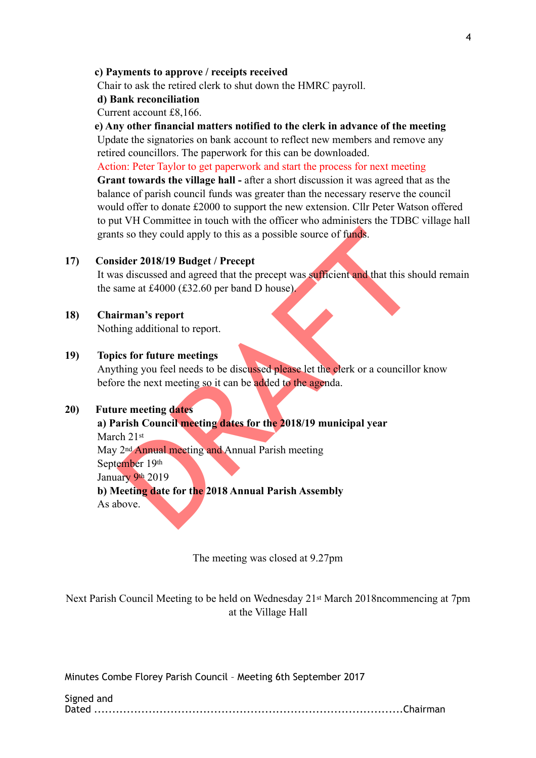#### **c) Payments to approve / receipts received**

Chair to ask the retired clerk to shut down the HMRC payroll.

#### **d) Bank reconciliation**

Current account £8,166.

#### **e) Any other financial matters notified to the clerk in advance of the meeting**

Update the signatories on bank account to reflect new members and remove any retired councillors. The paperwork for this can be downloaded.

Action: Peter Taylor to get paperwork and start the process for next meeting

**Grant towards the village hall -** after a short discussion it was agreed that as the balance of parish council funds was greater than the necessary reserve the council would offer to donate £2000 to support the new extension. Cllr Peter Watson offered to put VH Committee in touch with the officer who administers the TDBC village hall grants so they could apply to this as a possible source of funds.

# **17) Consider 2018/19 Budget / Precept**

It was discussed and agreed that the precept was sufficient and that this should remain the same at £4000 (£32.60 per band D house).

# **18) Chairman's report**

Nothing additional to report.

# **19) Topics for future meetings**

ts so they could apply to this as a possible source of funds.<br>
sider 2018/19 Budget / Precept<br>
as discussed and agreed that the precept was sufficient and that this show<br>
anne at £4000 (£32.60 per band D house)<br>
<br>
irman's Anything you feel needs to be discussed please let the clerk or a councillor know before the next meeting so it can be added to the agenda.

#### **20) Future meeting dates**

# **a) Parish Council meeting dates for the 2018/19 municipal year**

March 21st

May 2<sup>nd</sup> Annual meeting and Annual Parish meeting

September 19th

January 9th 2019

 **b) Meeting date for the 2018 Annual Parish Assembly** 

As above.

The meeting was closed at 9.27pm

Next Parish Council Meeting to be held on Wednesday 21st March 2018ncommencing at 7pm at the Village Hall

| Signed and |  |
|------------|--|
|            |  |